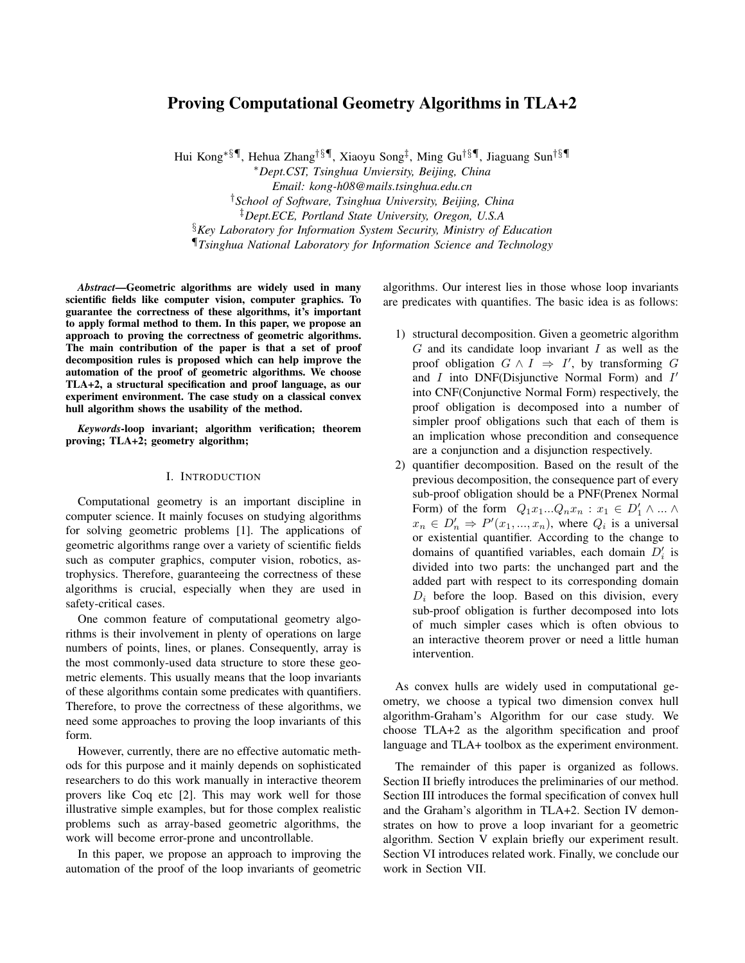# Proving Computational Geometry Algorithms in TLA+2

Hui Kong∗§¶, Hehua Zhang†§¶, Xiaoyu Song‡ , Ming Gu†§¶, Jiaguang Sun†§¶

<sup>∗</sup>*Dept.CST, Tsinghua Unviersity, Beijing, China*

*Email: kong-h08@mails.tsinghua.edu.cn*

†*School of Software, Tsinghua University, Beijing, China*

‡*Dept.ECE, Portland State University, Oregon, U.S.A*

§*Key Laboratory for Information System Security, Ministry of Education*

¶*Tsinghua National Laboratory for Information Science and Technology*

*Abstract*—Geometric algorithms are widely used in many scientific fields like computer vision, computer graphics. To guarantee the correctness of these algorithms, it's important to apply formal method to them. In this paper, we propose an approach to proving the correctness of geometric algorithms. The main contribution of the paper is that a set of proof decomposition rules is proposed which can help improve the automation of the proof of geometric algorithms. We choose TLA+2, a structural specification and proof language, as our experiment environment. The case study on a classical convex hull algorithm shows the usability of the method.

*Keywords*-loop invariant; algorithm verification; theorem proving; TLA+2; geometry algorithm;

## I. INTRODUCTION

Computational geometry is an important discipline in computer science. It mainly focuses on studying algorithms for solving geometric problems [1]. The applications of geometric algorithms range over a variety of scientific fields such as computer graphics, computer vision, robotics, astrophysics. Therefore, guaranteeing the correctness of these algorithms is crucial, especially when they are used in safety-critical cases.

One common feature of computational geometry algorithms is their involvement in plenty of operations on large numbers of points, lines, or planes. Consequently, array is the most commonly-used data structure to store these geometric elements. This usually means that the loop invariants of these algorithms contain some predicates with quantifiers. Therefore, to prove the correctness of these algorithms, we need some approaches to proving the loop invariants of this form.

However, currently, there are no effective automatic methods for this purpose and it mainly depends on sophisticated researchers to do this work manually in interactive theorem provers like Coq etc [2]. This may work well for those illustrative simple examples, but for those complex realistic problems such as array-based geometric algorithms, the work will become error-prone and uncontrollable.

In this paper, we propose an approach to improving the automation of the proof of the loop invariants of geometric algorithms. Our interest lies in those whose loop invariants are predicates with quantifies. The basic idea is as follows:

- 1) structural decomposition. Given a geometric algorithm  $G$  and its candidate loop invariant  $I$  as well as the proof obligation  $G \wedge I \Rightarrow I'$ , by transforming G and  $I$  into DNF(Disjunctive Normal Form) and  $I'$ into CNF(Conjunctive Normal Form) respectively, the proof obligation is decomposed into a number of simpler proof obligations such that each of them is an implication whose precondition and consequence are a conjunction and a disjunction respectively.
- 2) quantifier decomposition. Based on the result of the previous decomposition, the consequence part of every sub-proof obligation should be a PNF(Prenex Normal Form) of the form  $Q_1x_1...Q_nx_n : x_1 \in D'_1 \wedge ... \wedge$  $x_n \in D'_n \Rightarrow P'(x_1, ..., x_n)$ , where  $Q_i$  is a universal or existential quantifier. According to the change to domains of quantified variables, each domain  $D'_i$  is divided into two parts: the unchanged part and the added part with respect to its corresponding domain  $D_i$  before the loop. Based on this division, every sub-proof obligation is further decomposed into lots of much simpler cases which is often obvious to an interactive theorem prover or need a little human intervention.

As convex hulls are widely used in computational geometry, we choose a typical two dimension convex hull algorithm-Graham's Algorithm for our case study. We choose TLA+2 as the algorithm specification and proof language and TLA+ toolbox as the experiment environment.

The remainder of this paper is organized as follows. Section II briefly introduces the preliminaries of our method. Section III introduces the formal specification of convex hull and the Graham's algorithm in TLA+2. Section IV demonstrates on how to prove a loop invariant for a geometric algorithm. Section V explain briefly our experiment result. Section VI introduces related work. Finally, we conclude our work in Section VII.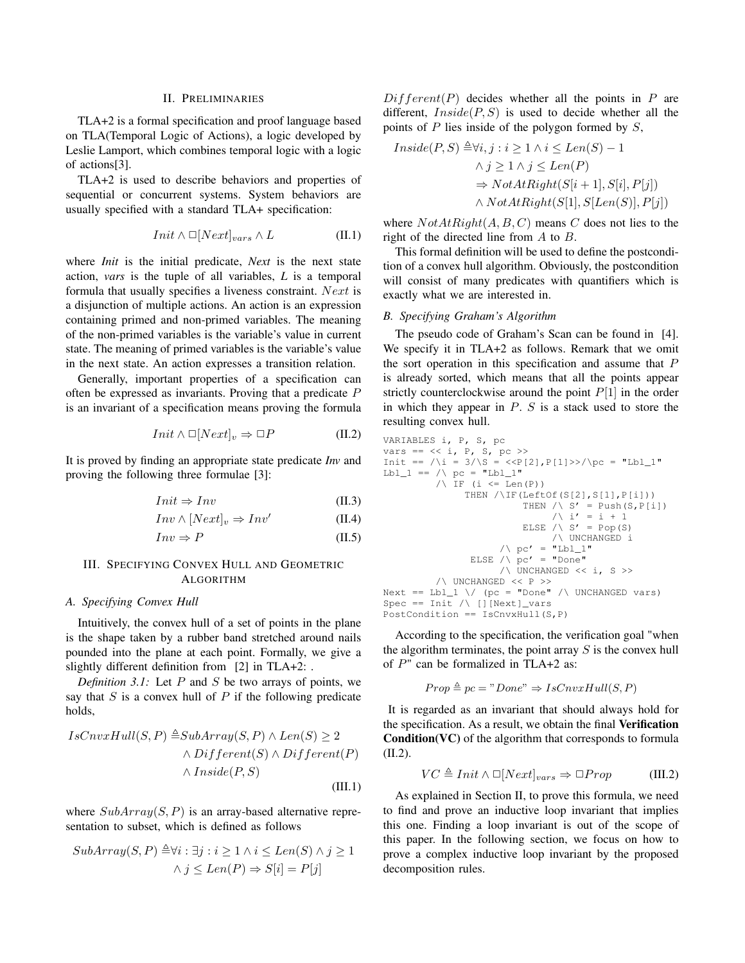## II. PRELIMINARIES

TLA+2 is a formal specification and proof language based on TLA(Temporal Logic of Actions), a logic developed by Leslie Lamport, which combines temporal logic with a logic of actions[3].

TLA+2 is used to describe behaviors and properties of sequential or concurrent systems. System behaviors are usually specified with a standard TLA+ specification:

$$
Init \wedge \Box [Next]_{vars} \wedge L \tag{II.1}
$$

where *Init* is the initial predicate, *Next* is the next state action, *vars* is the tuple of all variables, *L* is a temporal formula that usually specifies a liveness constraint. Next is a disjunction of multiple actions. An action is an expression containing primed and non-primed variables. The meaning of the non-primed variables is the variable's value in current state. The meaning of primed variables is the variable's value in the next state. An action expresses a transition relation.

Generally, important properties of a specification can often be expressed as invariants. Proving that a predicate P is an invariant of a specification means proving the formula

$$
Init \wedge \Box[Next]_v \Rightarrow \Box P \tag{II.2}
$$

It is proved by finding an appropriate state predicate *Inv* and proving the following three formulae [3]:

$$
Init \Rightarrow Inv \tag{II.3}
$$

$$
Inv \wedge [Next]_v \Rightarrow Inv'
$$
 (II.4)

$$
Inv \Rightarrow P \tag{II.5}
$$

## III. SPECIFYING CONVEX HULL AND GEOMETRIC ALGORITHM

## *A. Specifying Convex Hull*

Intuitively, the convex hull of a set of points in the plane is the shape taken by a rubber band stretched around nails pounded into the plane at each point. Formally, we give a slightly different definition from [2] in TLA+2: .

*Definition 3.1:* Let  $P$  and  $S$  be two arrays of points, we say that  $S$  is a convex hull of  $P$  if the following predicate holds,

$$
IsCnvxHull(S, P) \triangleq SubArray(S, P) \land Len(S) \ge 2
$$
  
 
$$
\land Different(S) \land Different(P)
$$
  
 
$$
\land Inside(P, S)
$$
  
(III.1)

where  $SubArray(S, P)$  is an array-based alternative representation to subset, which is defined as follows

$$
SubArray(S, P) \triangleq \forall i : \exists j : i \ge 1 \land i \le Len(S) \land j \ge 1
$$

$$
\land j \le Len(P) \Rightarrow S[i] = P[j]
$$

 $Different(P)$  decides whether all the points in P are different,  $Inside(P, S)$  is used to decide whether all the points of  $P$  lies inside of the polygon formed by  $S$ ,

$$
Inside(P, S) \triangleq \forall i, j : i \ge 1 \land i \le Len(S) - 1
$$
  
\n
$$
\land j \ge 1 \land j \le Len(P)
$$
  
\n
$$
\Rightarrow NotAtRight(S[i + 1], S[i], P[j])
$$
  
\n
$$
\land NotAtRight(S[1], S[Len(S)], P[j])
$$

where  $NotAtRight(A, B, C)$  means C does not lies to the right of the directed line from A to B.

This formal definition will be used to define the postcondition of a convex hull algorithm. Obviously, the postcondition will consist of many predicates with quantifiers which is exactly what we are interested in.

## *B. Specifying Graham's Algorithm*

The pseudo code of Graham's Scan can be found in [4]. We specify it in TLA+2 as follows. Remark that we omit the sort operation in this specification and assume that  $P$ is already sorted, which means that all the points appear strictly counterclockwise around the point  $P[1]$  in the order in which they appear in  $P$ .  $S$  is a stack used to store the resulting convex hull.

```
VARIABLES i, P, S, pc
vars = << i, P, S, pc >Init == /\iota = 3/\S = \langle P[2], P[1] \rangle / \pc = "Lbl_1"\verb|Lbl_l| == /\backslash pc = "Lbl_l"/\ IF (i \leq Len(P))
                THEN /\IF(LeftOf(S[2],S[1],P[i]))
                            THEN \land S' = Push(S, P[i])
                                 / \backslash i' = i + 1ELSE /\backslash S' = Pop(S)
                                  /\ UNCHANGED i
                        /\backslash pc' = "Lbl_1"
                 ELSE /\sqrt{pc'} = "Done"
                        /\ UNCHANGED << i, S >>
          /\ UNCHANGED << P >>
Next == Lb1_1 \ \lor \ (pc = "Done" / \ UnCHANGED vars)Spec == Init / \ [][Next]_vars
PostCondition == IsCnvxHull(S, P)
```
According to the specification, the verification goal "when the algorithm terminates, the point array  $S$  is the convex hull of P" can be formalized in TLA+2 as:

$$
Prop \triangleq pc = "Done" \Rightarrow IsCnvxHull(S, P)
$$

It is regarded as an invariant that should always hold for the specification. As a result, we obtain the final Verification Condition(VC) of the algorithm that corresponds to formula (II.2).

$$
VC \triangleq Init \land \Box[Next]_{vars} \Rightarrow \Box Prop \qquad (III.2)
$$

As explained in Section II, to prove this formula, we need to find and prove an inductive loop invariant that implies this one. Finding a loop invariant is out of the scope of this paper. In the following section, we focus on how to prove a complex inductive loop invariant by the proposed decomposition rules.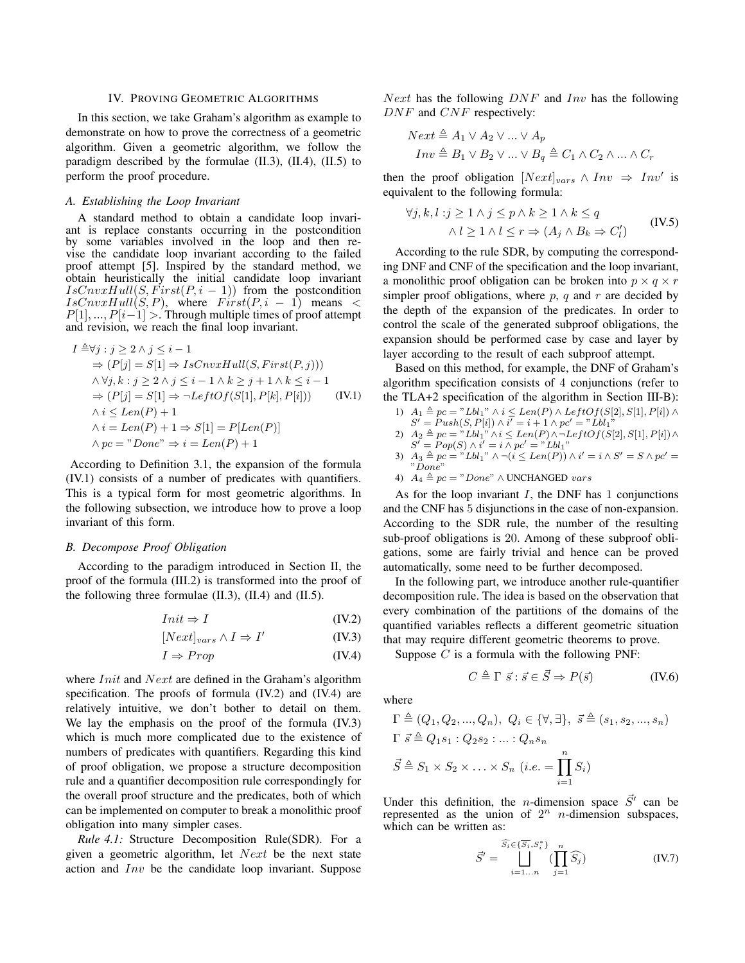#### IV. PROVING GEOMETRIC ALGORITHMS

In this section, we take Graham's algorithm as example to demonstrate on how to prove the correctness of a geometric algorithm. Given a geometric algorithm, we follow the paradigm described by the formulae  $(II.3)$ ,  $(II.4)$ ,  $(II.5)$  to perform the proof procedure.

#### *A. Establishing the Loop Invariant*

A standard method to obtain a candidate loop invariant is replace constants occurring in the postcondition by some variables involved in the loop and then revise the candidate loop invariant according to the failed proof attempt [5]. Inspired by the standard method, we obtain heuristically the initial candidate loop invariant  $IsCnvxHull(S, First(P, i - 1))$  from the postcondition  $IsCnvxHull(S, P)$ , where  $First(P, i - 1)$  means <  $P[1], ..., P[i-1] >$ . Through multiple times of proof attempt and revision, we reach the final loop invariant.

$$
I \triangleq \forall j : j \geq 2 \land j \leq i - 1
$$
  
\n
$$
\Rightarrow (P[j] = S[1] \Rightarrow IsCnvxHull(S, First(P, j)))
$$
  
\n
$$
\land \forall j, k : j \geq 2 \land j \leq i - 1 \land k \geq j + 1 \land k \leq i - 1
$$
  
\n
$$
\Rightarrow (P[j] = S[1] \Rightarrow \neg LeftOf(S[1], P[k], P[i])) \qquad (IV.1)
$$
  
\n
$$
\land i \leq Len(P) + 1
$$
  
\n
$$
\land i = Len(P) + 1 \Rightarrow S[1] = P[Len(P)]
$$
  
\n
$$
\land pc = "Done" \Rightarrow i = Len(P) + 1
$$

According to Definition 3.1, the expansion of the formula (IV.1) consists of a number of predicates with quantifiers. This is a typical form for most geometric algorithms. In the following subsection, we introduce how to prove a loop invariant of this form.

## *B. Decompose Proof Obligation*

According to the paradigm introduced in Section II, the proof of the formula (III.2) is transformed into the proof of the following three formulae  $(II.3)$ ,  $(II.4)$  and  $(II.5)$ .

$$
Init \Rightarrow I \tag{IV.2}
$$

$$
[Next]_{vars} \land I \Rightarrow I'
$$
 (IV.3)

$$
I \Rightarrow Prop \tag{IV.4}
$$

where *Init* and *Next* are defined in the Graham's algorithm specification. The proofs of formula (IV.2) and (IV.4) are relatively intuitive, we don't bother to detail on them. We lay the emphasis on the proof of the formula (IV.3) which is much more complicated due to the existence of numbers of predicates with quantifiers. Regarding this kind of proof obligation, we propose a structure decomposition rule and a quantifier decomposition rule correspondingly for the overall proof structure and the predicates, both of which can be implemented on computer to break a monolithic proof obligation into many simpler cases.

*Rule 4.1:* Structure Decomposition Rule(SDR). For a given a geometric algorithm, let  $Next$  be the next state action and Inv be the candidate loop invariant. Suppose Next has the following  $DNF$  and  $Inv$  has the following DNF and CNF respectively:

$$
Next \triangleq A_1 \vee A_2 \vee \dots \vee A_p
$$
  

$$
Inv \triangleq B_1 \vee B_2 \vee \dots \vee B_q \triangleq C_1 \wedge C_2 \wedge \dots \wedge C_r
$$

then the proof obligation  $[Next]_{vars} \wedge Inv \Rightarrow Inv'$  is equivalent to the following formula:

$$
\forall j, k, l : j \ge 1 \land j \le p \land k \ge 1 \land k \le q
$$
  
 
$$
\land l \ge 1 \land l \le r \Rightarrow (A_j \land B_k \Rightarrow C'_l)
$$
 (IV.5)

According to the rule SDR, by computing the corresponding DNF and CNF of the specification and the loop invariant, a monolithic proof obligation can be broken into  $p \times q \times r$ simpler proof obligations, where  $p$ ,  $q$  and  $r$  are decided by the depth of the expansion of the predicates. In order to control the scale of the generated subproof obligations, the expansion should be performed case by case and layer by layer according to the result of each subproof attempt.

Based on this method, for example, the DNF of Graham's algorithm specification consists of 4 conjunctions (refer to the TLA+2 specification of the algorithm in Section III-B):

- 1)  $A_1 \triangleq pc = "Lbl_1" \land i \leq Len(P) \land LeftOf(S[2], S[1], P[i]) \land$  $S' = Push(S, P[i]) \wedge i' = i + 1 \wedge pc' = "Lbl_1"$
- 2)  $A_2 \triangleq pc = "Lbl_1" \land i \leq Len(P) \land \neg LeftOf(S[2], S[1], P[i]) \land$  $S' = Pop(S) \wedge i' = i \wedge pc' = "Lbl_1"$
- 3)  $A_3 \triangleq pc = "Lbl_1" \land \neg(i \leq Len(P)) \land i' = i \land S' = S \land pc' =$ "Done"
- 4)  $A_4 \triangleq pc = "Done" \wedge UNCHANGED \text{ }vars$

As for the loop invariant  $I$ , the DNF has 1 conjunctions and the CNF has 5 disjunctions in the case of non-expansion. According to the SDR rule, the number of the resulting sub-proof obligations is 20. Among of these subproof obligations, some are fairly trivial and hence can be proved automatically, some need to be further decomposed.

In the following part, we introduce another rule-quantifier decomposition rule. The idea is based on the observation that every combination of the partitions of the domains of the quantified variables reflects a different geometric situation that may require different geometric theorems to prove.

Suppose  $C$  is a formula with the following PNF:

$$
C \triangleq \Gamma \ \vec{s} : \vec{s} \in \vec{S} \Rightarrow P(\vec{s}) \tag{IV.6}
$$

where

$$
\Gamma \triangleq (Q_1, Q_2, ..., Q_n), \ Q_i \in \{\forall, \exists\}, \ \vec{s} \triangleq (s_1, s_2, ..., s_n)
$$
  

$$
\Gamma \ \vec{s} \triangleq Q_1 s_1 : Q_2 s_2 : ... : Q_n s_n
$$
  

$$
\vec{S} \triangleq S_1 \times S_2 \times ... \times S_n \ (i.e. = \prod_{i=1}^n S_i)
$$

Under this definition, the *n*-dimension space  $\vec{S}'$  can be represented as the union of  $2^n$  *n*-dimension subspaces, which can be written as:

$$
\vec{S}' = \bigsqcup_{i=1...n}^{\widehat{S_i} \in {\overline{S_i}, S_i^*}} (\prod_{j=1}^n \widehat{S_j})
$$
 (IV.7)